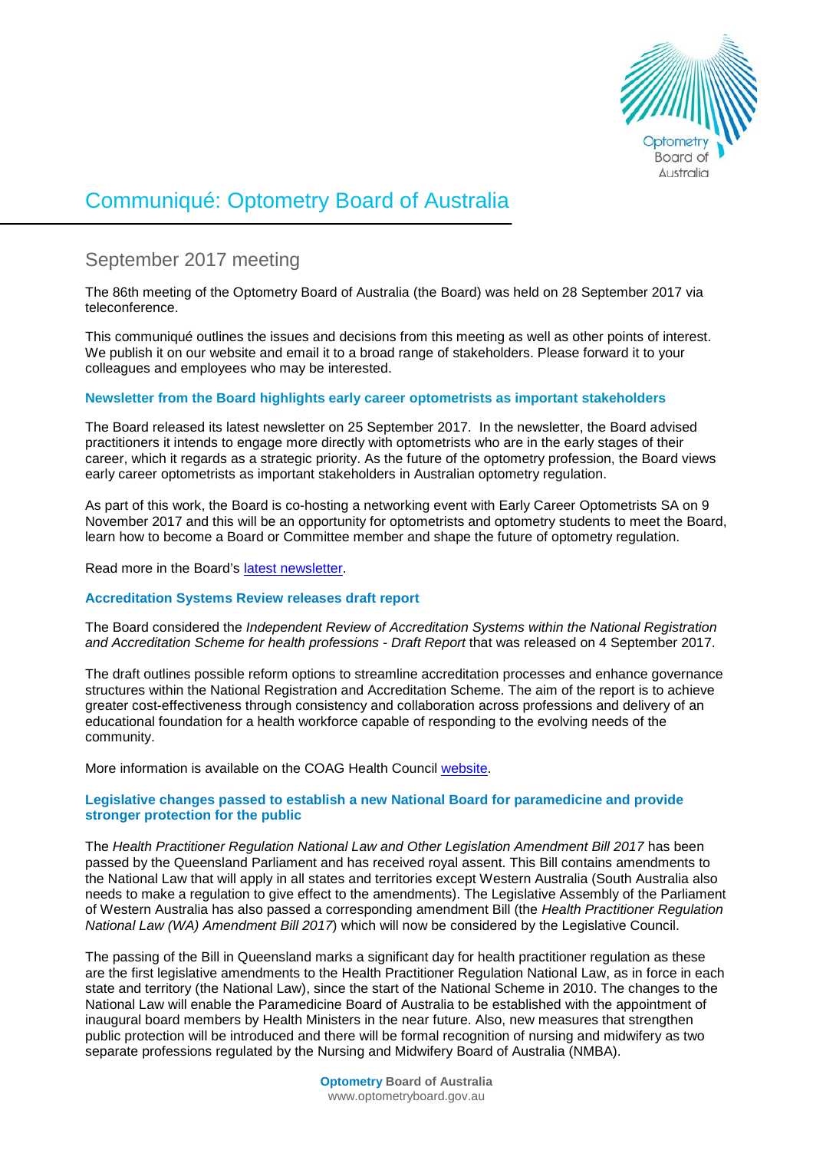

# Communiqué: Optometry Board of Australia

# September 2017 meeting

The 86th meeting of the Optometry Board of Australia (the Board) was held on 28 September 2017 via teleconference.

This communiqué outlines the issues and decisions from this meeting as well as other points of interest. We publish it on our website and email it to a broad range of stakeholders. Please forward it to your colleagues and employees who may be interested.

# **Newsletter from the Board highlights early career optometrists as important stakeholders**

The Board released its latest newsletter on 25 September 2017. In the newsletter, the Board advised practitioners it intends to engage more directly with optometrists who are in the early stages of their career, which it regards as a strategic priority. As the future of the optometry profession, the Board views early career optometrists as important stakeholders in Australian optometry regulation.

As part of this work, the Board is co-hosting a networking event with Early Career Optometrists SA on 9 November 2017 and this will be an opportunity for optometrists and optometry students to meet the Board, learn how to become a Board or Committee member and shape the future of optometry regulation.

Read more in the Board's [latest newsletter.](http://www.optometryboard.gov.au/News/Newsletters.aspx)

# **Accreditation Systems Review releases draft report**

The Board considered the *Independent Review of Accreditation Systems within the National Registration and Accreditation Scheme for health professions - Draft Report* that was released on 4 September 2017.

The draft outlines possible reform options to streamline accreditation processes and enhance governance structures within the National Registration and Accreditation Scheme. The aim of the report is to achieve greater cost-effectiveness through consistency and collaboration across professions and delivery of an educational foundation for a health workforce capable of responding to the evolving needs of the community.

More information is available on the COAG Health Council [website.](http://www.coaghealthcouncil.gov.au/Projects/Accreditation-Systems-Review)

# **Legislative changes passed to establish a new National Board for paramedicine and provide stronger protection for the public**

The *Health Practitioner Regulation National Law and Other Legislation Amendment Bill 2017* has been passed by the Queensland Parliament and has received royal assent. This Bill contains amendments to the National Law that will apply in all states and territories except Western Australia (South Australia also needs to make a regulation to give effect to the amendments). The Legislative Assembly of the Parliament of Western Australia has also passed a corresponding amendment Bill (the *Health Practitioner Regulation National Law (WA) Amendment Bill 2017*) which will now be considered by the Legislative Council.

The passing of the Bill in Queensland marks a significant day for health practitioner regulation as these are the first legislative amendments to the Health Practitioner Regulation National Law, as in force in each state and territory (the National Law), since the start of the National Scheme in 2010. The changes to the National Law will enable the Paramedicine Board of Australia to be established with the appointment of inaugural board members by Health Ministers in the near future. Also, new measures that strengthen public protection will be introduced and there will be formal recognition of nursing and midwifery as two separate professions regulated by the Nursing and Midwifery Board of Australia (NMBA).